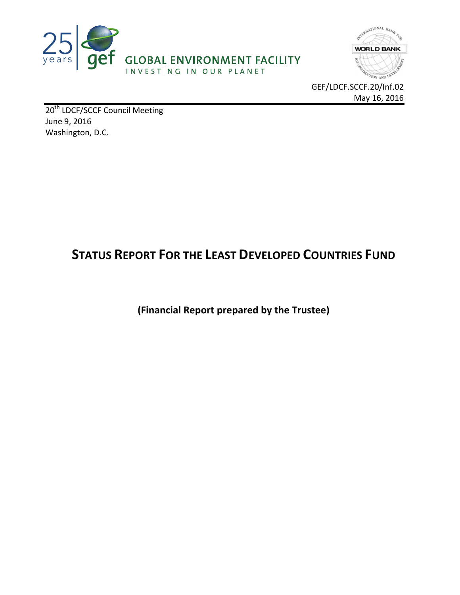



GEF/LDCF.SCCF.20/Inf.02 May 16, 2016

20<sup>th</sup> LDCF/SCCF Council Meeting June 9, 2016 Washington, D.C.

# **STATUS REPORT FOR THE LEAST DEVELOPED COUNTRIES FUND**

**(Financial Report prepared by the Trustee)**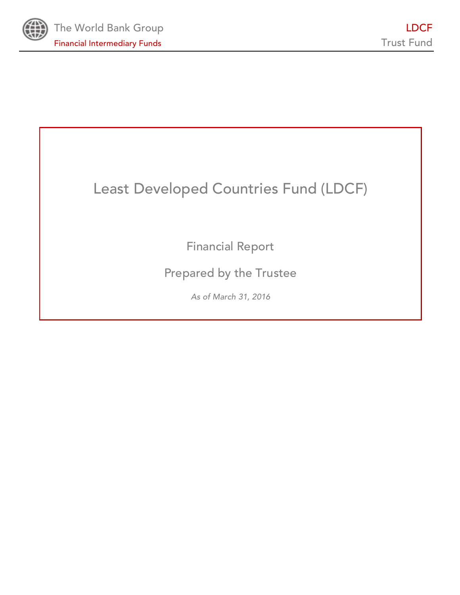

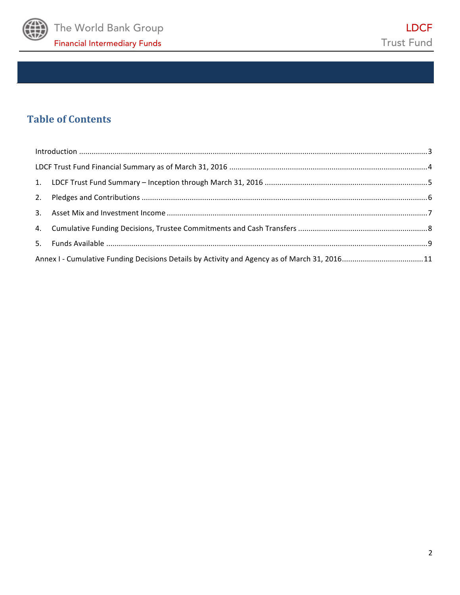

# **Table of Contents**

| Annex I - Cumulative Funding Decisions Details by Activity and Agency as of March 31, 201611 |  |
|----------------------------------------------------------------------------------------------|--|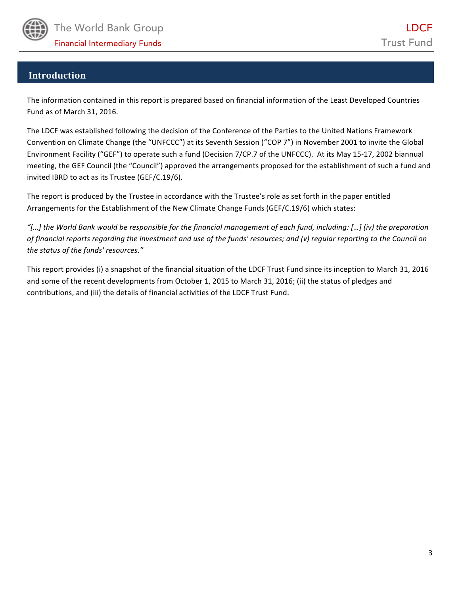

## **Introduction**

The information contained in this report is prepared based on financial information of the Least Developed Countries Fund as of March 31, 2016.

The LDCF was established following the decision of the Conference of the Parties to the United Nations Framework Convention on Climate Change (the "UNFCCC") at its Seventh Session ("COP 7") in November 2001 to invite the Global Environment Facility ("GEF") to operate such a fund (Decision 7/CP.7 of the UNFCCC). At its May 15-17, 2002 biannual meeting, the GEF Council (the "Council") approved the arrangements proposed for the establishment of such a fund and invited IBRD to act as its Trustee (GEF/C.19/6).

The report is produced by the Trustee in accordance with the Trustee's role as set forth in the paper entitled Arrangements for the Establishment of the New Climate Change Funds (GEF/C.19/6) which states:

*"[…] the World Bank would be responsible for the financial management of each fund, including: […] (iv) the preparation*  of financial reports regarding the investment and use of the funds' resources; and (v) regular reporting to the Council on the status of the funds' resources."

This report provides (i) a snapshot of the financial situation of the LDCF Trust Fund since its inception to March 31, 2016 and some of the recent developments from October 1, 2015 to March 31, 2016; (ii) the status of pledges and contributions, and (iii) the details of financial activities of the LDCF Trust Fund.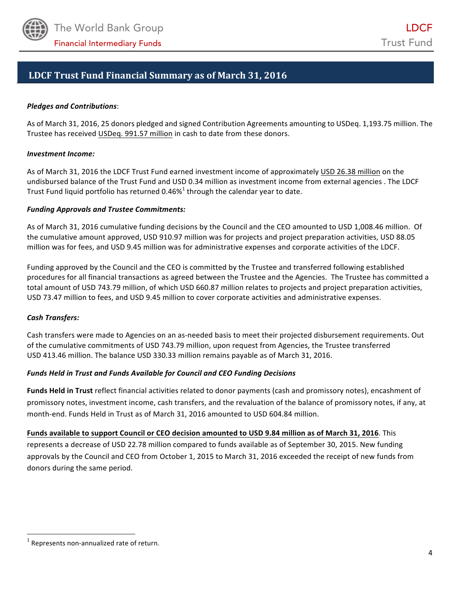

## **LDCF Trust Fund Financial Summary as of March 31, 2016**

#### *Pledges and Contributions*:

As of March 31, 2016, 25 donors pledged and signed Contribution Agreements amounting to USDeq. 1,193.75 million. The Trustee has received USDeq. 991.57 million in cash to date from these donors.

#### *Investment Income:*

As of March 31, 2016 the LDCF Trust Fund earned investment income of approximately USD 26.38 million on the undisbursed balance of the Trust Fund and USD 0.34 million as investment income from external agencies . The LDCF Trust Fund liquid portfolio has returned 0.46% $^1$  through the calendar year to date.

#### *Funding Approvals and Trustee Commitments:*

As of March 31, 2016 cumulative funding decisions by the Council and the CEO amounted to USD 1,008.46 million. Of the cumulative amount approved, USD 910.97 million was for projects and project preparation activities, USD 88.05 million was for fees, and USD 9.45 million was for administrative expenses and corporate activities of the LDCF.

Funding approved by the Council and the CEO is committed by the Trustee and transferred following established procedures for all financial transactions as agreed between the Trustee and the Agencies. The Trustee has committed a total amount of USD 743.79 million, of which USD 660.87 million relates to projects and project preparation activities, USD 73.47 million to fees, and USD 9.45 million to cover corporate activities and administrative expenses.

#### *Cash Transfers:*

Cash transfers were made to Agencies on an as-needed basis to meet their projected disbursement requirements. Out of the cumulative commitments of USD 743.79 million, upon request from Agencies, the Trustee transferred USD 413.46 million. The balance USD 330.33 million remains payable as of March 31, 2016.

#### Funds Held in Trust and Funds Available for Council and CEO Funding Decisions

**Funds Held in Trust** reflect financial activities related to donor payments (cash and promissory notes), encashment of promissory notes, investment income, cash transfers, and the revaluation of the balance of promissory notes, if any, at month-end. Funds Held in Trust as of March 31, 2016 amounted to USD 604.84 million.

**Funds available to support Council or CEO decision amounted to USD 9.84 million as of March 31, 2016. This** represents a decrease of USD 22.78 million compared to funds available as of September 30, 2015. New funding approvals by the Council and CEO from October 1, 2015 to March 31, 2016 exceeded the receipt of new funds from donors during the same period.

 

 $1$  Represents non-annualized rate of return.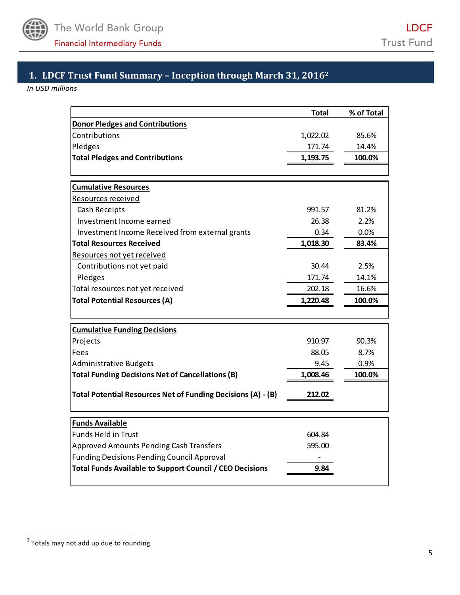

# **1. LDCF Trust Fund Summary – Inception through March 31, 2016<sup>2</sup>**

*In USD millions* 

|                                                              | <b>Total</b> | % of Total |
|--------------------------------------------------------------|--------------|------------|
| <b>Donor Pledges and Contributions</b>                       |              |            |
| Contributions                                                | 1,022.02     | 85.6%      |
| Pledges                                                      | 171.74       | 14.4%      |
| <b>Total Pledges and Contributions</b>                       | 1,193.75     | 100.0%     |
|                                                              |              |            |
| <b>Cumulative Resources</b>                                  |              |            |
| Resources received                                           |              |            |
| Cash Receipts                                                | 991.57       | 81.2%      |
| Investment Income earned                                     | 26.38        | 2.2%       |
| Investment Income Received from external grants              | 0.34         | $0.0\%$    |
| <b>Total Resources Received</b>                              | 1,018.30     | 83.4%      |
| Resources not yet received                                   |              |            |
| Contributions not yet paid                                   | 30.44        | 2.5%       |
| Pledges                                                      | 171.74       | 14.1%      |
| Total resources not yet received                             | 202.18       | 16.6%      |
| <b>Total Potential Resources (A)</b>                         | 1,220.48     | 100.0%     |
|                                                              |              |            |
| <b>Cumulative Funding Decisions</b>                          |              |            |
| Projects                                                     | 910.97       | 90.3%      |
| Fees                                                         | 88.05        | 8.7%       |
| <b>Administrative Budgets</b>                                | 9.45         | 0.9%       |
| <b>Total Funding Decisions Net of Cancellations (B)</b>      | 1,008.46     | 100.0%     |
| Total Potential Resources Net of Funding Decisions (A) - (B) | 212.02       |            |
| <b>Funds Available</b>                                       |              |            |
| <b>Funds Held in Trust</b>                                   | 604.84       |            |
| <b>Approved Amounts Pending Cash Transfers</b>               | 595.00       |            |
| <b>Funding Decisions Pending Council Approval</b>            |              |            |
| Total Funds Available to Support Council / CEO Decisions     | 9.84         |            |
|                                                              |              |            |

 2 Totals may not add up due to rounding.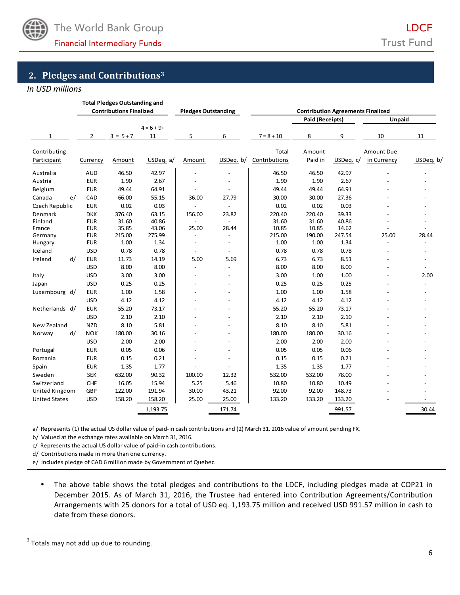

# **2. Pledges and Contributions<sup>3</sup>**

#### *In USD millions*

|                      |                                | <b>Total Pledges Outstanding and</b> |                            |                          |                          |               |                                          |           |                   |                          |
|----------------------|--------------------------------|--------------------------------------|----------------------------|--------------------------|--------------------------|---------------|------------------------------------------|-----------|-------------------|--------------------------|
|                      | <b>Contributions Finalized</b> |                                      | <b>Pledges Outstanding</b> |                          |                          |               | <b>Contribution Agreements Finalized</b> |           |                   |                          |
|                      |                                |                                      |                            |                          |                          |               | <b>Paid (Receipts)</b>                   |           | Unpaid            |                          |
|                      |                                |                                      | $4 = 6 + 9 +$              |                          |                          |               |                                          |           |                   |                          |
| 1                    | $\overline{2}$                 | $3 = 5 + 7$                          | 11                         | 5                        | 6                        | $7 = 8 + 10$  | 8                                        | 9         | 10                | 11                       |
| Contributing         |                                |                                      |                            |                          |                          | Total         | Amount                                   |           | <b>Amount Due</b> |                          |
| Participant          | Currency                       | Amount                               | USDeq. a/                  | Amount                   | USDeq. b/                | Contributions | Paid in                                  | USDeq. c/ | in Currency       | USDeq. b/                |
| Australia            | <b>AUD</b>                     | 46.50                                | 42.97                      |                          |                          | 46.50         | 46.50                                    | 42.97     |                   |                          |
| Austria              | <b>EUR</b>                     | 1.90                                 | 2.67                       |                          |                          | 1.90          | 1.90                                     | 2.67      |                   |                          |
| Belgium              | <b>EUR</b>                     | 49.44                                | 64.91                      |                          |                          | 49.44         | 49.44                                    | 64.91     |                   |                          |
| Canada<br>e/         | CAD                            | 66.00                                | 55.15                      | 36.00                    | 27.79                    | 30.00         | 30.00                                    | 27.36     |                   |                          |
| Czech Republic       | <b>EUR</b>                     | 0.02                                 | 0.03                       | $\sim$                   | $\overline{a}$           | 0.02          | 0.02                                     | 0.03      |                   |                          |
| Denmark              | <b>DKK</b>                     | 376.40                               | 63.15                      | 156.00                   | 23.82                    | 220.40        | 220.40                                   | 39.33     |                   |                          |
| Finland              | <b>EUR</b>                     | 31.60                                | 40.86                      | $\overline{\phantom{a}}$ | $\overline{\phantom{a}}$ | 31.60         | 31.60                                    | 40.86     |                   |                          |
| France               | <b>EUR</b>                     | 35.85                                | 43.06                      | 25.00                    | 28.44                    | 10.85         | 10.85                                    | 14.62     |                   |                          |
| Germany              | <b>EUR</b>                     | 215.00                               | 275.99                     | $\overline{\phantom{a}}$ | $\overline{\phantom{a}}$ | 215.00        | 190.00                                   | 247.54    | 25.00             | 28.44                    |
| Hungary              | <b>EUR</b>                     | 1.00                                 | 1.34                       | $\overline{\phantom{a}}$ | $\overline{\phantom{a}}$ | 1.00          | 1.00                                     | 1.34      |                   |                          |
| Iceland              | <b>USD</b>                     | 0.78                                 | 0.78                       | $\overline{\phantom{a}}$ | $\overline{\phantom{a}}$ | 0.78          | 0.78                                     | 0.78      |                   |                          |
| Ireland<br>d/        | <b>EUR</b>                     | 11.73                                | 14.19                      | 5.00                     | 5.69                     | 6.73          | 6.73                                     | 8.51      |                   |                          |
|                      | <b>USD</b>                     | 8.00                                 | 8.00                       | $\overline{a}$           | $\overline{\phantom{a}}$ | 8.00          | 8.00                                     | 8.00      |                   | $\overline{\phantom{a}}$ |
| Italy                | <b>USD</b>                     | 3.00                                 | 3.00                       |                          | $\overline{\phantom{a}}$ | 3.00          | 1.00                                     | 1.00      |                   | 2.00                     |
| Japan                | <b>USD</b>                     | 0.25                                 | 0.25                       |                          | $\overline{\phantom{a}}$ | 0.25          | 0.25                                     | 0.25      |                   |                          |
| Luxembourg d/        | <b>EUR</b>                     | 1.00                                 | 1.58                       |                          |                          | 1.00          | 1.00                                     | 1.58      |                   |                          |
|                      | <b>USD</b>                     | 4.12                                 | 4.12                       |                          |                          | 4.12          | 4.12                                     | 4.12      |                   |                          |
| Netherlands d/       | <b>EUR</b>                     | 55.20                                | 73.17                      |                          | $\overline{\phantom{a}}$ | 55.20         | 55.20                                    | 73.17     |                   |                          |
|                      | <b>USD</b>                     | 2.10                                 | 2.10                       |                          |                          | 2.10          | 2.10                                     | 2.10      |                   |                          |
| New Zealand          | <b>NZD</b>                     | 8.10                                 | 5.81                       |                          |                          | 8.10          | 8.10                                     | 5.81      |                   |                          |
| Norway<br>d/         | <b>NOK</b>                     | 180.00                               | 30.16                      |                          |                          | 180.00        | 180.00                                   | 30.16     |                   |                          |
|                      | <b>USD</b>                     | 2.00                                 | 2.00                       |                          |                          | 2.00          | 2.00                                     | 2.00      |                   |                          |
| Portugal             | <b>EUR</b>                     | 0.05                                 | 0.06                       |                          |                          | 0.05          | 0.05                                     | 0.06      |                   |                          |
| Romania              | <b>EUR</b>                     | 0.15                                 | 0.21                       |                          | $\overline{a}$           | 0.15          | 0.15                                     | 0.21      |                   |                          |
| Spain                | <b>EUR</b>                     | 1.35                                 | 1.77                       |                          |                          | 1.35          | 1.35                                     | 1.77      |                   |                          |
| Sweden               | <b>SEK</b>                     | 632.00                               | 90.32                      | 100.00                   | 12.32                    | 532.00        | 532.00                                   | 78.00     |                   |                          |
| Switzerland          | CHF                            | 16.05                                | 15.94                      | 5.25                     | 5.46                     | 10.80         | 10.80                                    | 10.49     |                   |                          |
| United Kingdom       | GBP                            | 122.00                               | 191.94                     | 30.00                    | 43.21                    | 92.00         | 92.00                                    | 148.73    |                   |                          |
| <b>United States</b> | <b>USD</b>                     | 158.20                               | 158.20                     | 25.00                    | 25.00                    | 133.20        | 133.20                                   | 133.20    |                   |                          |
|                      |                                |                                      | 1,193.75                   |                          | 171.74                   |               |                                          | 991.57    |                   | 30.44                    |

a/ Represents (1) the actual US dollar value of paid-in cash contributions and (2) March 31, 2016 value of amount pending FX.

b/ Valued at the exchange rates available on March 31, 2016.

c/ Represents the actual US dollar value of paid-in cash contributions.

d/ Contributions made in more than one currency.

e/ Includes pledge of CAD 6 million made by Government of Quebec.

• The above table shows the total pledges and contributions to the LDCF, including pledges made at COP21 in December 2015. As of March 31, 2016, the Trustee had entered into Contribution Agreements/Contribution Arrangements with 25 donors for a total of USD eq. 1,193.75 million and received USD 991.57 million in cash to date from these donors.

<u> 1989 - Johann Barn, mars ann an t-Amhain an t-Amhain an t-Amhain an t-Amhain an t-Amhain an t-Amhain an t-Amh</u>

 $3$  Totals may not add up due to rounding.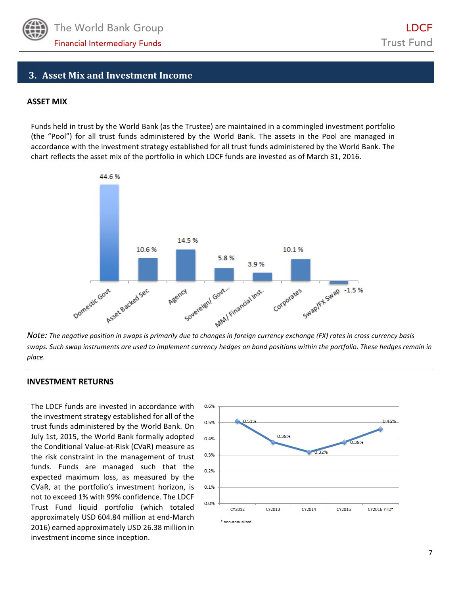

### **3. Asset Mix and Investment Income**

#### **ASSET MIX**

Funds held in trust by the World Bank (as the Trustee) are maintained in a commingled investment portfolio (the "Pool") for all trust funds administered by the World Bank. The assets in the Pool are managed in accordance with the investment strategy established for all trust funds administered by the World Bank. The chart reflects the asset mix of the portfolio in which LDCF funds are invested as of March 31, 2016.



swaps. Such swap instruments are used to implement currency hedges on bond positions within the portfolio. These hedges remain in *place.*

#### **INVESTMENT RETURNS**

The LDCF funds are invested in accordance with the investment strategy established for all of the trust funds administered by the World Bank. On July 1st, 2015, the World Bank formally adopted the Conditional Value-at-Risk (CVaR) measure as the risk constraint in the management of trust funds. Funds are managed such that the expected maximum loss, as measured by the CVaR, at the portfolio's investment horizon, is not to exceed 1% with 99% confidence. The LDCF Trust Fund liquid portfolio (which totaled approximately USD 604.84 million at end-March 2016) earned approximately USD 26.38 million in investment income since inception.

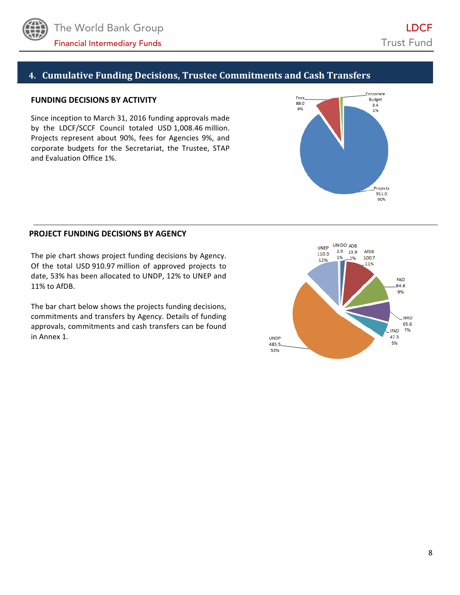

## **4. Cumulative Funding Decisions, Trustee Commitments and Cash Transfers**

#### **FUNDING DECISIONS BY ACTIVITY**

Since inception to March 31, 2016 funding approvals made by the LDCF/SCCF Council totaled USD 1,008.46 million. Projects represent about 90%, fees for Agencies 9%, and corporate budgets for the Secretariat, the Trustee, STAP and Evaluation Office 1%.



#### **PROJECT FUNDING DECISIONS BY AGENCY**

The pie chart shows project funding decisions by Agency. Of the total USD 910.97 million of approved projects to date, 53% has been allocated to UNDP, 12% to UNEP and 11% to AfDB. 

The bar chart below shows the projects funding decisions, commitments and transfers by Agency. Details of funding approvals, commitments and cash transfers can be found in Annex 1.

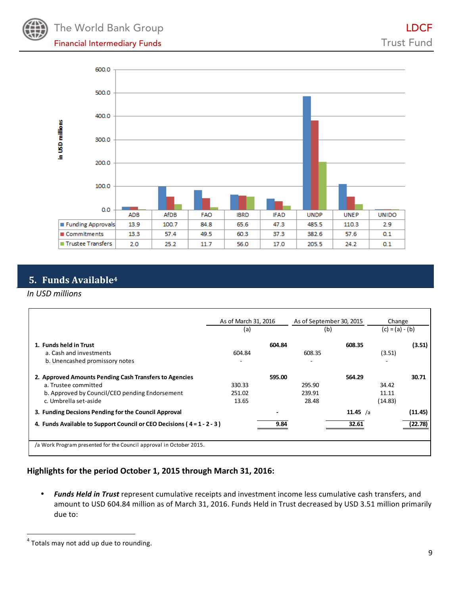



# **5. Funds Available<sup>4</sup>**

#### *In USD millions*

|                                                                                                                                                           | (a)                       | As of March 31, 2016 |                           | As of September 30, 2015 | Change<br>$(c) = (a) - (b)$ |         |
|-----------------------------------------------------------------------------------------------------------------------------------------------------------|---------------------------|----------------------|---------------------------|--------------------------|-----------------------------|---------|
| 1. Funds held in Trust<br>a. Cash and investments<br>b. Unencashed promissory notes                                                                       | 604.84                    | 604.84               | 608.35<br>۰               | 608.35                   | (3.51)                      | (3.51)  |
| 2. Approved Amounts Pending Cash Transfers to Agencies<br>a. Trustee committed<br>b. Approved by Council/CEO pending Endorsement<br>c. Umbrella set-aside | 330.33<br>251.02<br>13.65 | 595.00               | 295.90<br>239.91<br>28.48 | 564.29                   | 34.42<br>11.11<br>(14.83)   | 30.71   |
| 3. Funding Decsions Pending for the Council Approval                                                                                                      |                           |                      |                           | 11.45 $/a$               |                             | (11.45) |
| 4. Funds Available to Support Council or CEO Decisions (4=1-2-3)                                                                                          |                           | 9.84                 |                           | 32.61                    |                             | (22.78) |
| /a Work Program presented for the Council approval in October 2015.                                                                                       |                           |                      |                           |                          |                             |         |

### Highlights for the period October 1, 2015 through March 31, 2016:

Funds Held in Trust represent cumulative receipts and investment income less cumulative cash transfers, and amount to USD 604.84 million as of March 31, 2016. Funds Held in Trust decreased by USD 3.51 million primarily due to:

 4 Totals may not add up due to rounding.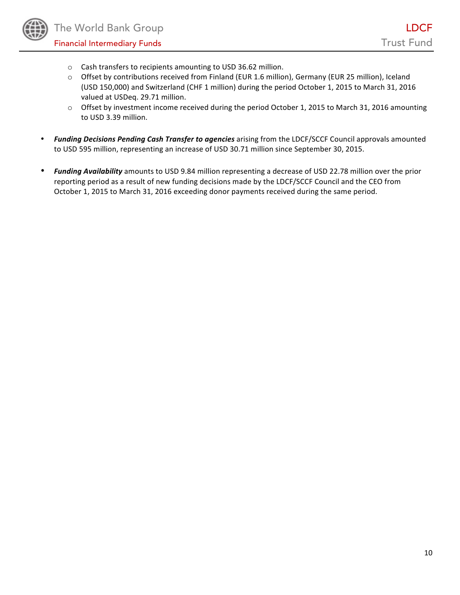- o Cash transfers to recipients amounting to USD 36.62 million.
- $\circ$  Offset by contributions received from Finland (EUR 1.6 million), Germany (EUR 25 million), Iceland (USD 150,000) and Switzerland (CHF 1 million) during the period October 1, 2015 to March 31, 2016 valued at USDeq. 29.71 million.
- $\circ$  Offset by investment income received during the period October 1, 2015 to March 31, 2016 amounting to USD 3.39 million.
- **Funding Decisions Pending Cash Transfer to agencies** arising from the LDCF/SCCF Council approvals amounted to USD 595 million, representing an increase of USD 30.71 million since September 30, 2015.
- Funding Availability amounts to USD 9.84 million representing a decrease of USD 22.78 million over the prior reporting period as a result of new funding decisions made by the LDCF/SCCF Council and the CEO from October 1, 2015 to March 31, 2016 exceeding donor payments received during the same period.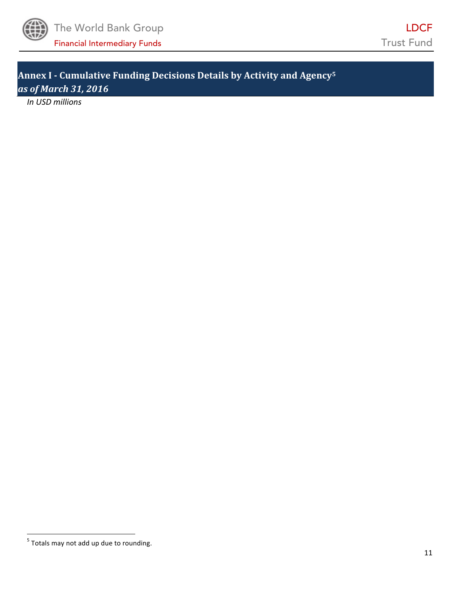

**Annex I - Cumulative Funding Decisions Details by Activity and Agency<sup>5</sup>** *as of March 31, 2016*

*In USD millions*

 5 Totals may not add up due to rounding.